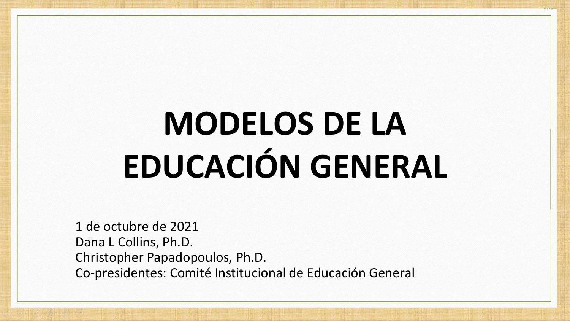# **MODELOS DE LA EDUCACIÓN GENERAL**

1 de octubre de 2021 Dana L Collins, Ph.D. Christopher Papadopoulos, Ph.D. Co-presidentes: Comité Institucional de Educación General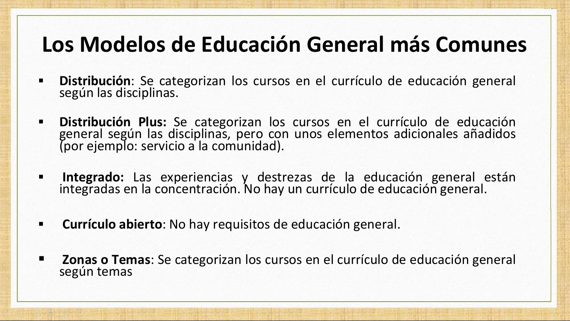## **Los Modelos de Educación General más Comunes**

- **Distribución**: Se categorizan los cursos en el currículo de educación general según las disciplinas.
- **Distribución Plus:** Se categorizan los cursos en el currículo de educación general según las disciplinas, pero con unos elementos adicionales añadidos (por ejemplo: servicio a la comunidad).
- **Integrado:** Las experiencias y destrezas de la educación general están integradas en la concentración. No hay un currículo de educación general.
- **Currículo abierto**: No hay requisitos de educación general.
- **Zonas o Temas**: Se categorizan los cursos en el currículo de educación general según temas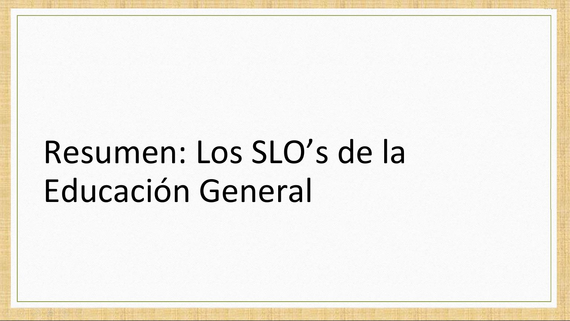# Resumen: Los SLO's de la Educación General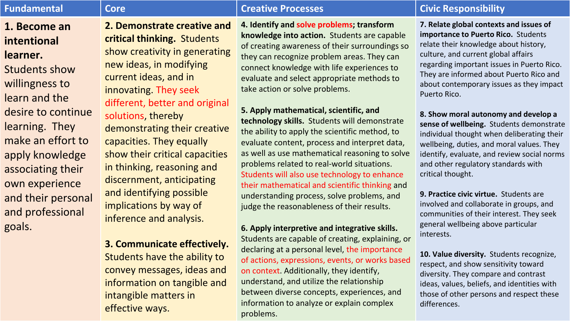### **1. Become an intentional learner.**

Students show willingness to learn and the desire to continue learning. They make an effort to apply knowledge associating their own experience and their personal and professional goals.

### **2. Demonstrate creative and critical thinking.** Students show creativity in generating new ideas, in modifying current ideas, and in innovating. They seek different, better and original solutions, thereby

demonstrating their creative capacities. They equally show their critical capacities in thinking, reasoning and discernment, anticipating and identifying possible implications by way of inference and analysis.

#### **3. Communicate effectively.**

Students have the ability to convey messages, ideas and information on tangible and intangible matters in effective ways.

**4. Identify and solve problems; transform knowledge into action.** Students are capable of creating awareness of their surroundings so they can recognize problem areas. They can connect knowledge with life experiences to evaluate and select appropriate methods to take action or solve problems.

#### **5. Apply mathematical, scientific, and**

**technology skills.** Students will demonstrate the ability to apply the scientific method, to evaluate content, process and interpret data, as well as use mathematical reasoning to solve problems related to real-world situations. Students will also use technology to enhance their mathematical and scientific thinking and understanding process, solve problems, and judge the reasonableness of their results.

#### **6. Apply interpretive and integrative skills.**

Students are capable of creating, explaining, or declaring at a personal level, the importance of actions, expressions, events, or works based on context. Additionally, they identify, understand, and utilize the relationship between diverse concepts, experiences, and information to analyze or explain complex problems.

#### **Fundamental Core Creative Processes Civic Responsibility**

**7. Relate global contexts and issues of importance to Puerto Rico.** Students relate their knowledge about history, culture, and current global affairs regarding important issues in Puerto Rico. They are informed about Puerto Rico and about contemporary issues as they impact Puerto Rico.

**8. Show moral autonomy and develop a sense of wellbeing.** Students demonstrate individual thought when deliberating their wellbeing, duties, and moral values. They identify, evaluate, and review social norms and other regulatory standards with critical thought.

**9. Practice civic virtue.** Students are involved and collaborate in groups, and communities of their interest. They seek general wellbeing above particular interests.

**10. Value diversity.** Students recognize, respect, and show sensitivity toward diversity. They compare and contrast ideas, values, beliefs, and identities with those of other persons and respect these differences.